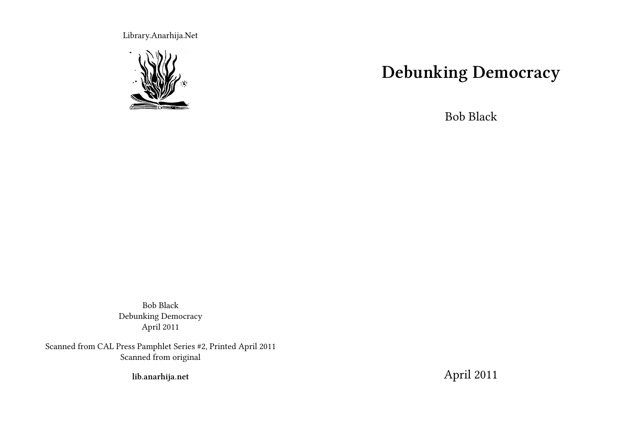Library.Anarhija.Net



## **Debunking Democracy**

Bob Black

Bob Black Debunking Democracy April 2011

Scanned from CAL Press Pamphlet Series #2, Printed April 2011 Scanned from original

**lib.anarhija.net**

April 2011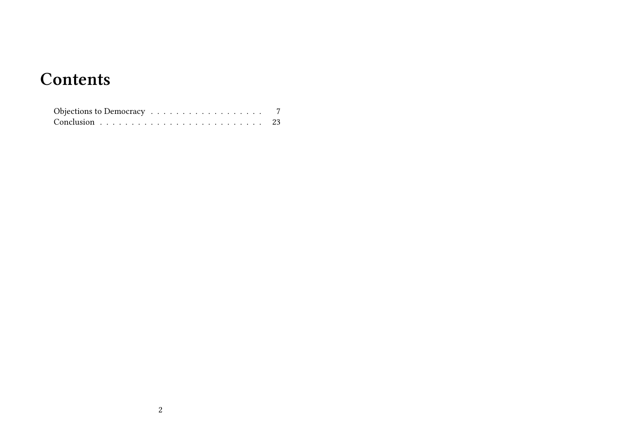## **Contents**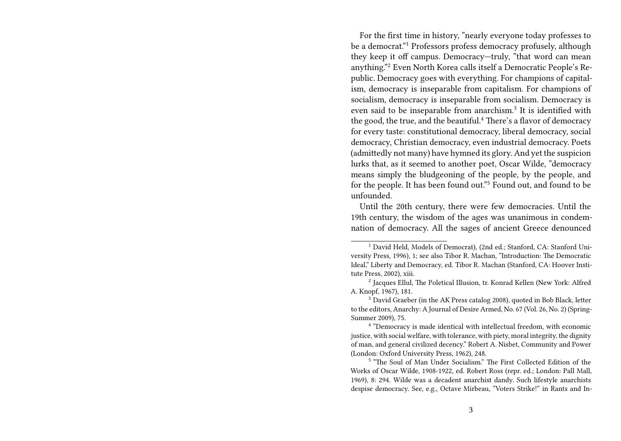For the first time in history, "nearly everyone today professes to be a democrat."<sup>1</sup> Professors profess democracy profusely, although they keep it off campus. Democracy—truly, "that word can mean anything."<sup>2</sup> Even North Korea calls itself a Democratic People's Republic. Democracy goes with everything. For champions of capitalism, democracy is inseparable from capitalism. For champions of socialism, democracy is inseparable from socialism. Democracy is even said to be inseparable from anarchism.<sup>3</sup> It is identified with the good, the true, and the beautiful.<sup>4</sup> There's a flavor of democracy for every taste: constitutional democracy, liberal democracy, social democracy, Christian democracy, even industrial democracy. Poets (admittedly not many) have hymned its glory. And yet the suspicion lurks that, as it seemed to another poet, Oscar Wilde, "democracy means simply the bludgeoning of the people, by the people, and for the people. It has been found out."<sup>5</sup> Found out, and found to be unfounded.

Until the 20th century, there were few democracies. Until the 19th century, the wisdom of the ages was unanimous in condemnation of democracy. All the sages of ancient Greece denounced

<sup>&</sup>lt;sup>1</sup> David Held, Models of Democrat), (2nd ed.; Stanford, CA: Stanford University Press, 1996), 1; see also Tibor R. Machan, "Introduction: The Democratic Ideal," Liberty and Democracy, ed. Tibor R. Machan (Stanford, CA: Hoover Institute Press, 2002), xiii.

<sup>2</sup> Jacques Ellul, The Poletical Illusion, tr. Konrad Kellen (New York: Alfred A. Knopf, 1967), 181.

 $3\overline{)}$  David Graeber (in the AK Press catalog 2008), quoted in Bob Black, letter to the editors, Anarchy: A Journal of Desire Armed, No. 67 (Vol. 26, No. 2) (Spring-Summer 2009), 75.

<sup>4</sup> "Democracy is made identical with intellectual freedom, with economic justice, with social welfare, with tolerance, with piety, moral integrity, the dignity of man, and general civilized decency." Robert A. Nisbet, Community and Power (London: Oxford University Press, 1962), 248.

<sup>5</sup> "The Soul of Man Under Socialism." The First Collected Edition of the Works of Oscar Wilde, 1908-1922, ed. Robert Ross (repr. ed.; London: Pall Mall, 1969), 8: 294. Wilde was a decadent anarchist dandy. Such lifestyle anarchists despise democracy. See, e.g., Octave Mirbeau, "Voters Strike!" in Rants and In-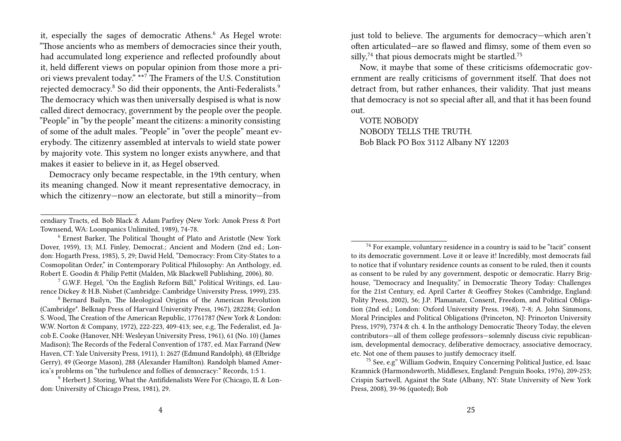it, especially the sages of democratic Athens.<sup>6</sup> As Hegel wrote: "Those ancients who as members of democracies since their youth, had accumulated long experience and reflected profoundly about it, held different views on popular opinion from those more a priori views prevalent today." \*\*<sup>7</sup> The Framers of the U.S. Constitution rejected democracy.<sup>8</sup> So did their opponents, the Anti-Federalists.<sup>9</sup> The democracy which was then universally despised is what is now called direct democracy, government by the people over the people. "People" in "by the people" meant the citizens: a minority consisting of some of the adult males. "People" in "over the people" meant everybody. The citizenry assembled at intervals to wield state power by majority vote. This system no longer exists anywhere, and that makes it easier to believe in it, as Hegel observed.

Democracy only became respectable, in the 19th century, when its meaning changed. Now it meant representative democracy, in which the citizenry—now an electorate, but still a minority—from

<sup>6</sup> Ernest Barker, The Political Thought of Plato and Aristotle (New York Dover, 1959), 13; M.I. Finley, Democrat.; Ancient and Modern (2nd ed.; London: Hogarth Press, 1985), 5, 29; David Held, "Democracy: From City-States to a Cosmopolitan Order," in Contemporary Political Philosophy: An Anthology, ed. Robert E. Goodin & Philip Pettit (Malden, Mk Blackwell Publishing, 2006), 80.

<sup>7</sup> G.W.F. Hegel, "On the English Reform Bill," Political Writings, ed. Laurence Dickey & H.B. Nisbet (Cambridge: Cambridge University Press, 1999), 235.

<sup>8</sup> Bernard Bailyn, The Ideological Origins of the American Revolution (Cambridge\*. Belknap Press of Harvard University Press, 1967), 282284; Gordon S. Wood, The Creation of the American Republic, 17761787 (New York & London: W.W. Norton & Company, 1972), 222-223, 409-413; see, e.g, The Federalist, ed. Jacob E. Cooke (Hanover, NH: Wesleyan University Press, 1961), 61 (No. 10) (James Madison); The Records of the Federal Convention of 1787, ed. Max Farrand (New Haven, CT: Yale University Press, 1911), 1: 2627 (Edmund Randolph), 48 (Elbridge Gerry), 49 (George Mason), 288 (Alexander Hamilton). Randolph blamed America's problems on "the turbulence and follies of democracy:" Records, 1:5 1.

 $9$  Herbert J. Storing, What the Antifidenalists Were For (Chicago, IL & London: University of Chicago Press, 1981), 29.

just told to believe. The arguments for democracy—which aren't often articulated—are so flawed and flimsy, some of them even so silly,<sup>74</sup> that pious democrats might be startled.<sup>75</sup>

Now, it maybe that some of these criticisms ofdemocratic government are really criticisms of government itself. That does not detract from, but rather enhances, their validity. That just means that democracy is not so special after all, and that it has been found out.

VOTE NOBODY NOBODY TELLS THE TRUTH. Bob Black PO Box 3112 Albany NY 12203

cendiary Tracts, ed. Bob Black & Adam Parfrey (New York: Amok Press & Port Townsend, WA: Loompanics Unlimited, 1989), 74-78.

<sup>74</sup> For example, voluntary residence in a country is said to be "tacit" consent to its democratic government. Love it or leave it! Incredibly, most democrats fail to notice that if voluntary residence counts as consent to be ruled, then it counts as consent to be ruled by any government, despotic or democratic. Harry Brighouse, "Democracy and Inequality," in Democratic Theory Today: Challenges for the 21st Century, ed. April Carter & Geoffrey Stokes (Cambridge, England: Polity Press, 2002), 56; J.P. Plamanatz, Consent, Freedom, and Political Obligation (2nd ed.; London: Oxford University Press, 1968), 7-8; A. John Simmons, Moral Principles and Political Obligations (Princeton, NJ: Princeton University Press, 1979), 7374 & ch. 4. In the anthology Democratic Theory Today, the eleven contributors—all of them college professors—solemnly discuss civic republicanism, developmental democracy, deliberative democracy, associative democracy, etc. Not one of them pauses to justify democracy itself.

<sup>75</sup> See, e.g" William Godwin, Enquiry Concerning Political Justice, ed. Isaac Kramnick (Harmondsworth, Middlesex, England: Penguin Books, 1976), 209-253; Crispin Sartwell, Against the State (Albany, NY: State University of New York Press, 2008), 39-96 (quoted); Bob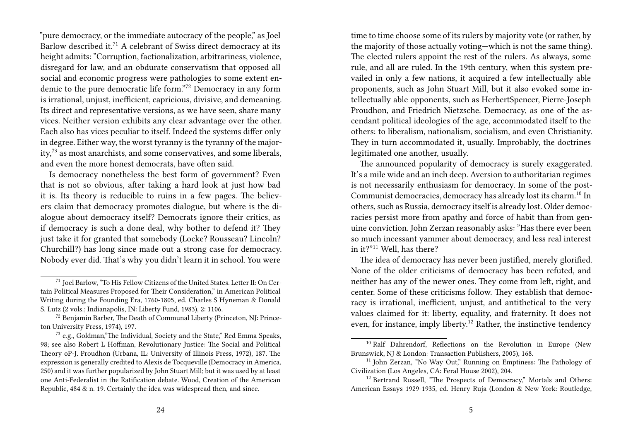"pure democracy, or the immediate autocracy of the people," as Joel Barlow described it.<sup>71</sup> A celebrant of Swiss direct democracy at its height admits: "Corruption, factionalization, arbitrariness, violence, disregard for law, and an obdurate conservatism that opposed all social and economic progress were pathologies to some extent endemic to the pure democratic life form."<sup>72</sup> Democracy in any form is irrational, unjust, inefficient, capricious, divisive, and demeaning. Its direct and representative versions, as we have seen, share many vices. Neither version exhibits any clear advantage over the other. Each also has vices peculiar to itself. Indeed the systems differ only in degree. Either way, the worst tyranny is the tyranny of the major $ity<sub>1</sub><sup>73</sup>$  as most anarchists, and some conservatives, and some liberals, and even the more honest democrats, have often said.

Is democracy nonetheless the best form of government? Even that is not so obvious, after taking a hard look at just how bad it is. Its theory is reducible to ruins in a few pages. The believers claim that democracy promotes dialogue, but where is the dialogue about democracy itself? Democrats ignore their critics, as if democracy is such a done deal, why bother to defend it? They just take it for granted that somebody (Locke? Rousseau? Lincoln? Churchill?) has long since made out a strong case for democracy. Nobody ever did. That's why you didn't learn it in school. You were

time to time choose some of its rulers by majority vote (or rather, by the majority of those actually voting—which is not the same thing). The elected rulers appoint the rest of the rulers. As always, some rule, and all are ruled. In the 19th century, when this system prevailed in only a few nations, it acquired a few intellectually able proponents, such as John Stuart Mill, but it also evoked some intellectually able opponents, such as HerbertSpencer, Pierre-Joseph Proudhon, and Friedrich Nietzsche. Democracy, as one of the ascendant political ideologies of the age, accommodated itself to the others: to liberalism, nationalism, socialism, and even Christianity. They in turn accommodated it, usually. Improbably, the doctrines legitimated one another, usually.

The announced popularity of democracy is surely exaggerated. It's a mile wide and an inch deep. Aversion to authoritarian regimes is not necessarily enthusiasm for democracy. In some of the post-Communist democracies, democracy has already lost its charm.<sup>10</sup> In others, such as Russia, democracy itself is already lost. Older democracies persist more from apathy and force of habit than from genuine conviction. John Zerzan reasonably asks: "Has there ever been so much incessant yammer about democracy, and less real interest in it?"<sup>11</sup> Well, has there?

The idea of democracy has never been justified, merely glorified. None of the older criticisms of democracy has been refuted, and neither has any of the newer ones. They come from left, right, and center. Some of these criticisms follow. They establish that democracy is irrational, inefficient, unjust, and antithetical to the very values claimed for it: liberty, equality, and fraternity. It does not even, for instance, imply liberty.<sup>12</sup> Rather, the instinctive tendency

<sup>71</sup> Joel Barlow, "To His Fellow Citizens of the United States. Letter II: On Certain Political Measures Proposed for Their Consideration," in American Political Writing during the Founding Era, 1760-1805, ed. Charles S Hyneman & Donald S. Lutz (2 vols.; Indianapolis, IN: Liberty Fund, 1983), 2: 1106.

<sup>72</sup> Benjamin Barber, The Death of Communal Liberty (Princeton, NJ: Princeton University Press, 1974), 197.

 $73$  e.g., Goldman,"The Individual, Society and the State," Red Emma Speaks, 98; see also Robert L Hoffman, Revolutionary Justice: The Social and Political Theory oP-J. Proudhon (Urbana, IL: University of Illinois Press, 1972), 187. The expression is generally credited to Alexis de Tocqueville (Democracy in America, 250) and it was further popularized by John Stuart Mill; but it was used by at least one Anti-Federalist in the Ratification debate. Wood, Creation of the American Republic, 484 & n. 19. Certainly the idea was widespread then, and since.

<sup>&</sup>lt;sup>10</sup> Ralf Dahrendorf, Reflections on the Revolution in Europe (New Brunswick, NJ & London: Transaction Publishers, 2005), 168.

<sup>&</sup>lt;sup>11</sup> John Zerzan, "No Way Out," Running on Emptiness: The Pathology of Civilization (Los Angeles, CA: Feral House 2002), 204.

<sup>&</sup>lt;sup>12</sup> Bertrand Russell, "The Prospects of Democracy," Mortals and Others: American Essays 1929-1935, ed. Henry Ruja (London & New York: Routledge,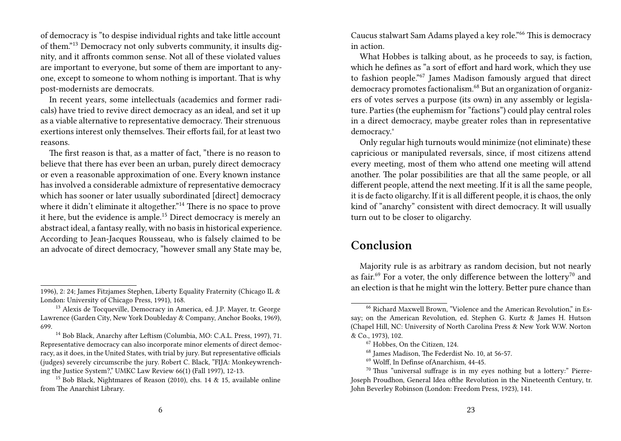of democracy is "to despise individual rights and take little account of them."<sup>13</sup> Democracy not only subverts community, it insults dignity, and it affronts common sense. Not all of these violated values are important to everyone, but some of them are important to anyone, except to someone to whom nothing is important. That is why post-modernists are democrats.

In recent years, some intellectuals (academics and former radicals) have tried to revive direct democracy as an ideal, and set it up as a viable alternative to representative democracy. Their strenuous exertions interest only themselves. Their efforts fail, for at least two reasons.

The first reason is that, as a matter of fact, "there is no reason to believe that there has ever been an urban, purely direct democracy or even a reasonable approximation of one. Every known instance has involved a considerable admixture of representative democracy which has sooner or later usually subordinated [direct] democracy where it didn't eliminate it altogether."<sup>14</sup> There is no space to prove it here, but the evidence is ample.<sup>15</sup> Direct democracy is merely an abstract ideal, a fantasy really, with no basis in historical experience. According to Jean-Jacques Rousseau, who is falsely claimed to be an advocate of direct democracy, "however small any State may be,

Caucus stalwart Sam Adams played a key role."<sup>66</sup> This is democracy in action.

What Hobbes is talking about, as he proceeds to say, is faction, which he defines as "a sort of effort and hard work, which they use to fashion people."<sup>67</sup> James Madison famously argued that direct democracy promotes factionalism.<sup>68</sup> But an organization of organizers of votes serves a purpose (its own) in any assembly or legislature. Parties (the euphemism for "factions") could play central roles in a direct democracy, maybe greater roles than in representative democracy.°

Only regular high turnouts would minimize (not eliminate) these capricious or manipulated reversals, since, if most citizens attend every meeting, most of them who attend one meeting will attend another. The polar possibilities are that all the same people, or all different people, attend the next meeting. If it is all the same people, it is de facto oligarchy. If it is all different people, it is chaos, the only kind of "anarchy" consistent with direct democracy. It will usually turn out to be closer to oligarchy.

## **Conclusion**

Majority rule is as arbitrary as random decision, but not nearly as fair.<sup>69</sup> For a voter, the only difference between the lottery<sup>70</sup> and an election is that he might win the lottery. Better pure chance than

<sup>1996), 2: 24;</sup> James Fitzjames Stephen, Liberty Equality Fraternity (Chicago IL & London: University of Chicago Press, 1991), 168.

<sup>13</sup> Alexis de Tocqueville, Democracy in America, ed. J.P. Mayer, tr. George Lawrence (Garden City, New York Doubleday & Company, Anchor Books, 1969), 699.

<sup>14</sup> Bob Black, Anarchy after Leftism (Columbia, MO: C.A.L. Press, 1997), 71. Representative democracy can also incorporate minor elements of direct democracy, as it does, in the United States, with trial by jury. But representative officials (judges) severely circumscribe the jury. Robert C. Black, "FIJA: Monkeywrenching the Justice System?," UMKC Law Review 66(1) (Fall 1997), 12-13.

<sup>15</sup> Bob Black, Nightmares of Reason (2010), chs. 14 & 15, available online from The Anarchist Library.

<sup>66</sup> Richard Maxwell Brown, "Violence and the American Revolution," in Essay; on the American Revolution, ed. Stephen G. Kurtz & James H. Hutson (Chapel Hill, NC: University of North Carolina Press & New York W.W. Norton & Co., 1973), 102.

<sup>67</sup> Hobbes, On the Citizen, 124.

<sup>68</sup> James Madison, The Federdist No. 10, at 56-57.

<sup>69</sup> Wolff, In Definse ofAnarchism, 44-45.

<sup>70</sup> Thus "universal suffrage is in my eyes nothing but a lottery:" Pierre-Joseph Proudhon, General Idea ofthe Revolution in the Nineteenth Century, tr. John Beverley Robinson (London: Freedom Press, 1923), 141.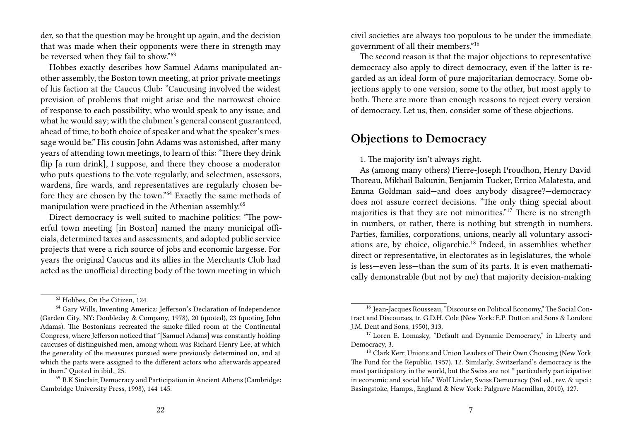der, so that the question may be brought up again, and the decision that was made when their opponents were there in strength may be reversed when they fail to show."<sup>63</sup>

Hobbes exactly describes how Samuel Adams manipulated another assembly, the Boston town meeting, at prior private meetings of his faction at the Caucus Club: "Caucusing involved the widest prevision of problems that might arise and the narrowest choice of response to each possibility; who would speak to any issue, and what he would say; with the clubmen's general consent guaranteed, ahead of time, to both choice of speaker and what the speaker's message would be." His cousin John Adams was astonished, after many years of attending town meetings, to learn of this: "There they drink flip [a rum drink], I suppose, and there they choose a moderator who puts questions to the vote regularly, and selectmen, assessors, wardens, fire wards, and representatives are regularly chosen before they are chosen by the town."<sup>64</sup> Exactly the same methods of manipulation were practiced in the Athenian assembly.<sup>65</sup>

Direct democracy is well suited to machine politics: "The powerful town meeting [in Boston] named the many municipal officials, determined taxes and assessments, and adopted public service projects that were a rich source of jobs and economic largesse. For years the original Caucus and its allies in the Merchants Club had acted as the unofficial directing body of the town meeting in which

civil societies are always too populous to be under the immediate government of all their members."<sup>16</sup>

The second reason is that the major objections to representative democracy also apply to direct democracy, even if the latter is regarded as an ideal form of pure majoritarian democracy. Some objections apply to one version, some to the other, but most apply to both. There are more than enough reasons to reject every version of democracy. Let us, then, consider some of these objections.

## **Objections to Democracy**

1. The majority isn't always right.

As (among many others) Pierre-Joseph Proudhon, Henry David Thoreau, Mikhail Bakunin, Benjamin Tucker, Errico Malatesta, and Emma Goldman said—and does anybody disagree?—democracy does not assure correct decisions. "The only thing special about majorities is that they are not minorities."<sup>17</sup> There is no strength in numbers, or rather, there is nothing but strength in numbers. Parties, families, corporations, unions, nearly all voluntary associations are, by choice, oligarchic.<sup>18</sup> Indeed, in assemblies whether direct or representative, in electorates as in legislatures, the whole is less—even less—than the sum of its parts. It is even mathematically demonstrable (but not by me) that majority decision-making

<sup>63</sup> Hobbes, On the Citizen, 124.

<sup>64</sup> Gary Wills, Inventing America: Jefferson's Declaration of Independence (Garden City, NY: Doubleday & Company, 1978), 20 (quoted), 23 (quoting John Adams). The Bostonians recreated the smoke-filled room at the Continental Congress, where Jefferson noticed that "[Samuel Adams] was constantly holding caucuses of distinguished men, among whom was Richard Henry Lee, at which the generality of the measures pursued were previously determined on, and at which the parts were assigned to the different actors who afterwards appeared in them." Quoted in ibid., 25.

<sup>65</sup> R.K.Sinclair, Democracy and Participation in Ancient Athens (Cambridge: Cambridge University Press, 1998), 144-145.

<sup>16</sup> Jean-Jacques Rousseau, "Discourse on Political Economy," The Social Contract and Discourses, tr. G.D.H. Cole (New York: E.P. Dutton and Sons & London: J.M. Dent and Sons, 1950), 313.

<sup>&</sup>lt;sup>17</sup> Loren E. Lomasky, "Default and Dynamic Democracy," in Liberty and Democracy, 3.

<sup>&</sup>lt;sup>18</sup> Clark Kerr, Unions and Union Leaders of Their Own Choosing (New York The Fund for the Republic, 1957), 12. Similarly, Switzerland's democracy is the most participatory in the world, but the Swiss are not " particularly participative in economic and social life." Wolf Linder, Swiss Democracy (3rd ed., rev. & upci.; Basingstoke, Hamps., England & New York: Palgrave Macmillan, 2010), 127.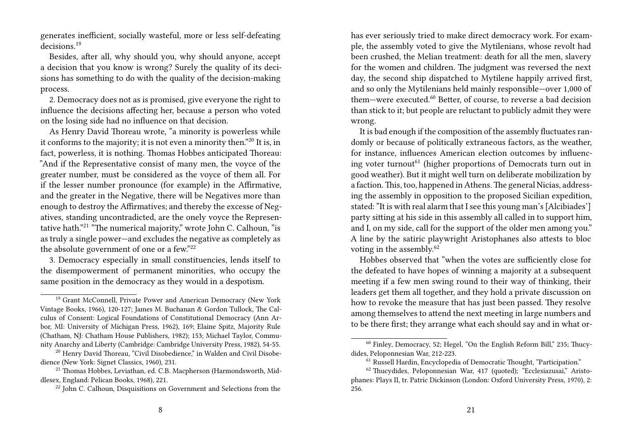generates inefficient, socially wasteful, more or less self-defeating decisions.<sup>19</sup>

Besides, after all, why should you, why should anyone, accept a decision that you know is wrong? Surely the quality of its decisions has something to do with the quality of the decision-making process.

2. Democracy does not as is promised, give everyone the right to influence the decisions affecting her, because a person who voted on the losing side had no influence on that decision.

As Henry David Thoreau wrote, "a minority is powerless while it conforms to the majority; it is not even a minority then."<sup>20</sup> It is, in fact, powerless, it is nothing. Thomas Hobbes anticipated Thoreau: "And if the Representative consist of many men, the voyce of the greater number, must be considered as the voyce of them all. For if the lesser number pronounce (for example) in the Affirmative, and the greater in the Negative, there will be Negatives more than enough to destroy the Affirmatives; and thereby the excesse of Negatives, standing uncontradicted, are the onely voyce the Representative hath."<sup>21</sup> "The numerical majority," wrote John C. Calhoun, "is as truly a single power—and excludes the negative as completely as the absolute government of one or a few."<sup>22</sup>

3. Democracy especially in small constituencies, lends itself to the disempowerment of permanent minorities, who occupy the same position in the democracy as they would in a despotism.

has ever seriously tried to make direct democracy work. For example, the assembly voted to give the Mytilenians, whose revolt had been crushed, the Melian treatment: death for all the men, slavery for the women and children. The judgment was reversed the next day, the second ship dispatched to Mytilene happily arrived first, and so only the Mytilenians held mainly responsible—over 1,000 of them—were executed.<sup>60</sup> Better, of course, to reverse a bad decision than stick to it; but people are reluctant to publicly admit they were wrong.

It is bad enough if the composition of the assembly fluctuates randomly or because of politically extraneous factors, as the weather, for instance, influences American election outcomes by influencing voter turnout<sup>61</sup> (higher proportions of Democrats turn out in good weather). But it might well turn on deliberate mobilization by a faction.This, too, happened in Athens.The general Nicias, addressing the assembly in opposition to the proposed Sicilian expedition, stated: "It is with real alarm that I see this young man's [Alcibiades'] party sitting at his side in this assembly all called in to support him, and I, on my side, call for the support of the older men among you." A line by the satiric playwright Aristophanes also attests to bloc voting in the assembly.<sup>62</sup>

Hobbes observed that "when the votes are sufficiently close for the defeated to have hopes of winning a majority at a subsequent meeting if a few men swing round to their way of thinking, their leaders get them all together, and they hold a private discussion on how to revoke the measure that has just been passed. They resolve among themselves to attend the next meeting in large numbers and to be there first; they arrange what each should say and in what or-

<sup>&</sup>lt;sup>19</sup> Grant McConnell, Private Power and American Democracy (New York Vintage Books, 1966), 120-127; James M. Buchanan & Gordon Tullock, The Calculus of Consent: Logical Foundations of Constitutional Democracy (Ann Arbor, MI: University of Michigan Press, 1962), 169; Elaine Spitz, Majority Rule (Chatham, NJ: Chatham House Publishers, 1982); 153; Michael Taylor, Community Anarchy and Liberty (Cambridge: Cambridge University Press, 1982), 54-55.

<sup>&</sup>lt;sup>20</sup> Henry David Thoreau, "Civil Disobedience," in Walden and Civil Disobedience (New York: Signet Classics, 1960), 231.

<sup>&</sup>lt;sup>21</sup> Thomas Hobbes, Leviathan, ed. C.B. Macpherson (Harmondsworth, Middlesex, England: Pelican Books, 1968), 221.

<sup>&</sup>lt;sup>22</sup> John C. Calhoun, Disquisitions on Government and Selections from the

<sup>&</sup>lt;sup>60</sup> Finley, Democracy, 52; Hegel, "On the English Reform Bill," 235; Thucydides, Peloponnesian War, 212-223.

<sup>61</sup> Russell Hardin, Encyclopedia of Democratic Thought, "Participation."

<sup>&</sup>lt;sup>62</sup> Thucydides, Peloponnesian War, 417 (quoted); "Ecclesiazusai," Aristophanes: Plays II, tr. Patric Dickinson (London: Oxford University Press, 1970), 2: 256.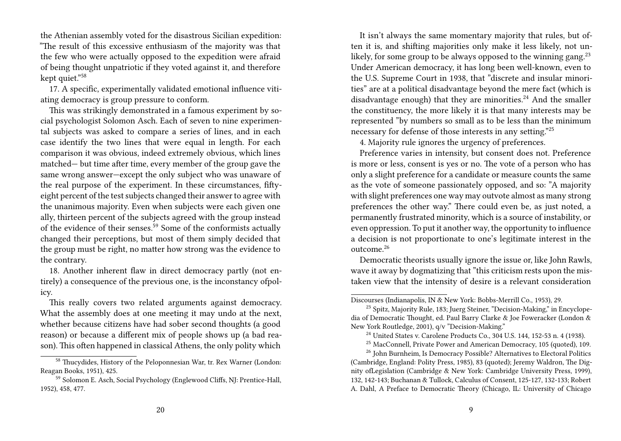the Athenian assembly voted for the disastrous Sicilian expedition: "The result of this excessive enthusiasm of the majority was that the few who were actually opposed to the expedition were afraid of being thought unpatriotic if they voted against it, and therefore kept quiet."<sup>58</sup>

17. A specific, experimentally validated emotional influence vitiating democracy is group pressure to conform.

This was strikingly demonstrated in a famous experiment by social psychologist Solomon Asch. Each of seven to nine experimental subjects was asked to compare a series of lines, and in each case identify the two lines that were equal in length. For each comparison it was obvious, indeed extremely obvious, which lines matched— but time after time, every member of the group gave the same wrong answer—except the only subject who was unaware of the real purpose of the experiment. In these circumstances, fiftyeight percent of the test subjects changed their answer to agree with the unanimous majority. Even when subjects were each given one ally, thirteen percent of the subjects agreed with the group instead of the evidence of their senses.<sup>59</sup> Some of the conformists actually changed their perceptions, but most of them simply decided that the group must be right, no matter how strong was the evidence to the contrary.

18. Another inherent flaw in direct democracy partly (not entirely) a consequence of the previous one, is the inconstancy ofpolicy.

This really covers two related arguments against democracy. What the assembly does at one meeting it may undo at the next, whether because citizens have had sober second thoughts (a good reason) or because a different mix of people shows up (a bad reason). This often happened in classical Athens, the only polity which

It isn't always the same momentary majority that rules, but often it is, and shifting majorities only make it less likely, not unlikely, for some group to be always opposed to the winning gang.<sup>23</sup> Under American democracy, it has long been well-known, even to the U.S. Supreme Court in 1938, that "discrete and insular minorities" are at a political disadvantage beyond the mere fact (which is disadvantage enough) that they are minorities.<sup>24</sup> And the smaller the constituency, the more likely it is that many interests may be represented "by numbers so small as to be less than the minimum necessary for defense of those interests in any setting."<sup>25</sup>

4. Majority rule ignores the urgency of preferences.

Preference varies in intensity, but consent does not. Preference is more or less, consent is yes or no. The vote of a person who has only a slight preference for a candidate or measure counts the same as the vote of someone passionately opposed, and so: "A majority with slight preferences one way may outvote almost as many strong preferences the other way." There could even be, as just noted, a permanently frustrated minority, which is a source of instability, or even oppression. To put it another way, the opportunity to influence a decision is not proportionate to one's legitimate interest in the outcome.<sup>26</sup>

Democratic theorists usually ignore the issue or, like John Rawls, wave it away by dogmatizing that "this criticism rests upon the mistaken view that the intensity of desire is a relevant consideration

<sup>58</sup> Thucydides, History of the Peloponnesian War, tr. Rex Warner (London: Reagan Books, 1951), 425.

<sup>59</sup> Solomon E. Asch, Social Psychology (Englewood Cliffs, NJ: Prentice-Hall, 1952), 458, 477.

Discourses (Indianapolis, IN & New York: Bobbs-Merrill Co., 1953), 29.

<sup>&</sup>lt;sup>23</sup> Spitz, Majority Rule, 183; Juerg Steiner, "Decision-Making," in Encyclopedia of Democratic Thought, ed. Paul Barry Clarke & Joe Foweracker (London & New York Routledge, 2001), q/v "Decision-Making."

<sup>&</sup>lt;sup>24</sup> United States v. Carolene Products Co., 304 U.S. 144, 152-53 n. 4 (1938).

<sup>25</sup> MacConnell, Private Power and American Democracy, 105 (quoted), 109.

<sup>&</sup>lt;sup>26</sup> John Burnheim, Is Democracy Possible? Alternatives to Electoral Politics (Cambridge, England: Polity Press, 1985), 83 (quoted); Jeremy Waldron, The Dignity ofLegislation (Cambridge & New York: Cambridge University Press, 1999), 132, 142-143; Buchanan & Tullock, Calculus of Consent, 125-127, 132-133; Robert A. Dahl, A Preface to Democratic Theory (Chicago, IL: University of Chicago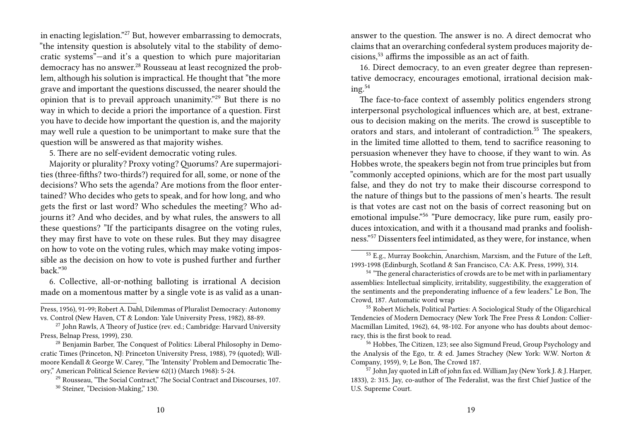in enacting legislation."<sup>27</sup> But, however embarrassing to democrats, "the intensity question is absolutely vital to the stability of democratic systems"—and it's a question to which pure majoritarian democracy has no answer.<sup>28</sup> Rousseau at least recognized the problem, although his solution is impractical. He thought that "the more grave and important the questions discussed, the nearer should the opinion that is to prevail approach unanimity."<sup>29</sup> But there is no way in which to decide a priori the importance of a question. First you have to decide how important the question is, and the majority may well rule a question to be unimportant to make sure that the question will be answered as that majority wishes.

5. There are no self-evident democratic voting rules.

Majority or plurality? Proxy voting? Quorums? Are supermajorities (three-fifths? two-thirds?) required for all, some, or none of the decisions? Who sets the agenda? Are motions from the floor entertained? Who decides who gets to speak, and for how long, and who gets the first or last word? Who schedules the meeting? Who adjourns it? And who decides, and by what rules, the answers to all these questions? "If the participants disagree on the voting rules, they may first have to vote on these rules. But they may disagree on how to vote on the voting rules, which may make voting impossible as the decision on how to vote is pushed further and further back."<sup>30</sup>

6. Collective, all-or-nothing balloting is irrational A decision made on a momentous matter by a single vote is as valid as a unananswer to the question. The answer is no. A direct democrat who claims that an overarching confederal system produces majority decisions,<sup>53</sup> affirms the impossible as an act of faith.

16. Direct democracy, to an even greater degree than representative democracy, encourages emotional, irrational decision mak $ing.^{54}$ 

The face-to-face context of assembly politics engenders strong interpersonal psychological influences which are, at best, extraneous to decision making on the merits. The crowd is susceptible to orators and stars, and intolerant of contradiction.<sup>55</sup> The speakers, in the limited time allotted to them, tend to sacrifice reasoning to persuasion whenever they have to choose, if they want to win. As Hobbes wrote, the speakers begin not from true principles but from "commonly accepted opinions, which are for the most part usually false, and they do not try to make their discourse correspond to the nature of things but to the passions of men's hearts. The result is that votes are cast not on the basis of correct reasoning but on emotional impulse."<sup>56</sup> "Pure democracy, like pure rum, easily produces intoxication, and with it a thousand mad pranks and foolishness."<sup>57</sup> Dissenters feel intimidated, as they were, for instance, when

Press, 1956), 91-99; Robert A. Dahl, Dilemmas of Pluralist Democracy: Autonomy vs. Control (New Haven, CT & London: Yale University Press, 1982), 88-89.

 $27$  John Rawls, A Theory of Justice (rev. ed.; Cambridge: Harvard University Press, Belnap Press, 1999), 230.

<sup>&</sup>lt;sup>28</sup> Benjamin Barber, The Conquest of Politics: Liberal Philosophy in Democratic Times (Princeton, NJ: Princeton University Press, 1988), 79 (quoted); Willmoore Kendall & George W. Carey, "The 'Intensity' Problem and Democratic Theory," American Political Science Review 62(1) (March 1968): 5-24.

<sup>29</sup> Rousseau, "The Social Contract," 7he Social Contract and Discourses, 107.

<sup>30</sup> Steiner, "Decision-Making," 130.

<sup>53</sup> E.g., Murray Bookchin, Anarchism, Marxism, and the Future of the Left, 1993-1998 (Edinburgh, Scotland & San Francisco, CA: A.K. Press, 1999), 314.

 $54$  "The general characteristics of crowds are to be met with in parliamentary assemblies: Intellectual simplicity, irritability, suggestibility, the exaggeration of the sentiments and the preponderating influence of a few leaders." Le Bon, The Crowd, 187. Automatic word wrap

<sup>55</sup> Robert Michels, Political Parties: A Sociological Study of the Oligarchical Tendencies of Modern Democracy (New York The Free Press & London: Collier-Macmillan Limited, 1962), 64, 98-102. For anyone who has doubts about democracy, this is the first book to read.

<sup>56</sup> Hobbes, The Citizen, 123; see also Sigmund Freud, Group Psychology and the Analysis of the Ego, tr. & ed. James Strachey (New York: W.W. Norton & Company, 1959), 9; Le Bon, The Crowd 187.

<sup>57</sup> John Jay quoted in Lift of john fax ed. William Jay (New York J. & J. Harper, 1833), 2: 315. Jay, co-author of The Federalist, was the first Chief Justice of the U.S. Supreme Court.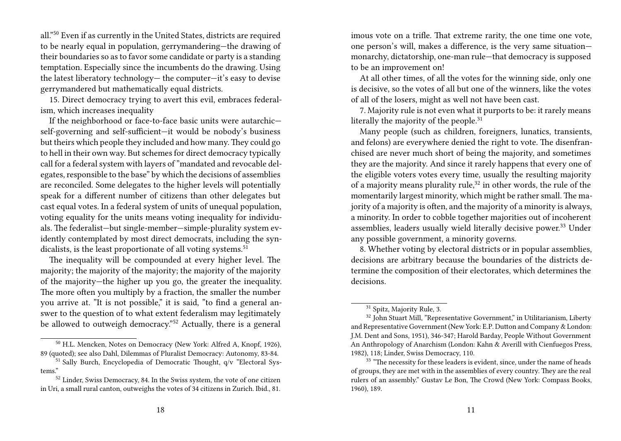all."<sup>50</sup> Even if as currently in the United States, districts are required to be nearly equal in population, gerrymandering—the drawing of their boundaries so as to favor some candidate or party is a standing temptation. Especially since the incumbents do the drawing. Using the latest liberatory technology— the computer—it's easy to devise gerrymandered but mathematically equal districts.

15. Direct democracy trying to avert this evil, embraces federalism, which increases inequality

If the neighborhood or face-to-face basic units were autarchic self-governing and self-sufficient—it would be nobody's business but theirs which people they included and how many.They could go to hell in their own way. But schemes for direct democracy typically call for a federal system with layers of "mandated and revocable delegates, responsible to the base" by which the decisions of assemblies are reconciled. Some delegates to the higher levels will potentially speak for a different number of citizens than other delegates but cast equal votes. In a federal system of units of unequal population, voting equality for the units means voting inequality for individuals. The federalist—but single-member—simple-plurality system evidently contemplated by most direct democrats, including the syndicalists, is the least proportionate of all voting systems.<sup>51</sup>

The inequality will be compounded at every higher level. The majority; the majority of the majority; the majority of the majority of the majority—the higher up you go, the greater the inequality. The more often you multiply by a fraction, the smaller the number you arrive at. "It is not possible," it is said, "to find a general answer to the question of to what extent federalism may legitimately be allowed to outweigh democracy."<sup>52</sup> Actually, there is a general

imous vote on a trifle. That extreme rarity, the one time one vote, one person's will, makes a difference, is the very same situation monarchy, dictatorship, one-man rule—that democracy is supposed to be an improvement on!

At all other times, of all the votes for the winning side, only one is decisive, so the votes of all but one of the winners, like the votes of all of the losers, might as well not have been cast.

7. Majority rule is not even what it purports to be: it rarely means literally the majority of the people.<sup>31</sup>

Many people (such as children, foreigners, lunatics, transients, and felons) are everywhere denied the right to vote. The disenfranchised are never much short of being the majority, and sometimes they are the majority. And since it rarely happens that every one of the eligible voters votes every time, usually the resulting majority of a majority means plurality rule, $32$  in other words, the rule of the momentarily largest minority, which might be rather small. The majority of a majority is often, and the majority of a minority is always, a minority. In order to cobble together majorities out of incoherent assemblies, leaders usually wield literally decisive power.<sup>33</sup> Under any possible government, a minority governs.

8. Whether voting by electoral districts or in popular assemblies, decisions are arbitrary because the boundaries of the districts determine the composition of their electorates, which determines the decisions.

<sup>50</sup> H.L. Mencken, Notes on Democracy (New York: Alfred A, Knopf, 1926), 89 (quoted); see also Dahl, Dilemmas of Pluralist Democracy: Autonomy, 83-84.

<sup>&</sup>lt;sup>51</sup> Sally Burch, Encyclopedia of Democratic Thought, q/v "Electoral Systems."

<sup>52</sup> Linder, Swiss Democracy, 84. In the Swiss system, the vote of one citizen in Uri, a small rural canton, outweighs the votes of 34 citizens in Zurich. Ibid., 81.

<sup>31</sup> Spitz, Majority Rule, 3.

<sup>&</sup>lt;sup>32</sup> John Stuart Mill, "Representative Government," in Utilitarianism, Liberty and Representative Government (New York: E.P. Dutton and Company & London: J.M. Dent and Sons, 1951), 346-347; Harold Barday, People Without Government An Anthropology of Anarchism (London: Kahn & Averill with Cienfuegos Press, 1982), 118; Linder, Swiss Democracy, 110.

<sup>&</sup>lt;sup>33</sup> "The necessity for these leaders is evident, since, under the name of heads of groups, they are met with in the assemblies of every country. They are the real rulers of an assembly." Gustav Le Bon, The Crowd (New York: Compass Books, 1960), 189.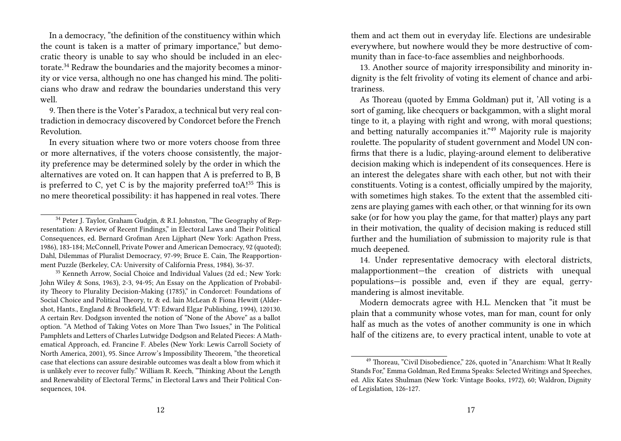In a democracy, "the definition of the constituency within which the count is taken is a matter of primary importance," but democratic theory is unable to say who should be included in an electorate.<sup>34</sup> Redraw the boundaries and the majority becomes a minority or vice versa, although no one has changed his mind. The politicians who draw and redraw the boundaries understand this very well.

9. Then there is the Voter's Paradox, a technical but very real contradiction in democracy discovered by Condorcet before the French Revolution.

In every situation where two or more voters choose from three or more alternatives, if the voters choose consistently, the majority preference may be determined solely by the order in which the alternatives are voted on. It can happen that A is preferred to B, B is preferred to C, yet C is by the majority preferred to $A!^{35}$  This is no mere theoretical possibility: it has happened in real votes. There

<sup>35</sup> Kenneth Arrow, Social Choice and Individual Values (2d ed.; New York: John Wiley & Sons, 1963), 2-3, 94-95; An Essay on the Application of Probability Theory to Plurality Decision-Making (1785)," in Condorcet: Foundations of Social Choice and Political Theory, tr. & ed. lain McLean & Fiona Hewitt (Aldershot, Hants., England & Brookfield, VT: Edward Elgar Publishing, 1994), 120130. A certain Rev. Dodgson invented the notion of "None of the Above" as a ballot option. "A Method of Taking Votes on More Than Two Issues," in The Political Pamphlets and Letters of Charles Lutwidge Dodgson and Related Pieces: A Mathematical Approach, ed. Francine F. Abeles (New York: Lewis Carroll Society of North America, 2001), 95. Since Arrow's Impossibility Theorem, "the theoretical case that elections can assure desirable outcomes was dealt a blow from which it is unlikely ever to recover fully." William R. Keech, "Thinking About the Length and Renewability of Electoral Terms," in Electoral Laws and Their Political Consequences, 104.

them and act them out in everyday life. Elections are undesirable everywhere, but nowhere would they be more destructive of community than in face-to-face assemblies and neighborhoods.

13. Another source of majority irresponsibility and minority indignity is the felt frivolity of voting its element of chance and arbitrariness.

As Thoreau (quoted by Emma Goldman) put it, 'All voting is a sort of gaming, like checquers or backgammon, with a slight moral tinge to it, a playing with right and wrong, with moral questions; and betting naturally accompanies it."<sup>49</sup> Majority rule is majority roulette. The popularity of student government and Model UN confirms that there is a ludic, playing-around element to deliberative decision making which is independent of its consequences. Here is an interest the delegates share with each other, but not with their constituents. Voting is a contest, officially umpired by the majority, with sometimes high stakes. To the extent that the assembled citizens are playing games with each other, or that winning for its own sake (or for how you play the game, for that matter) plays any part in their motivation, the quality of decision making is reduced still further and the humiliation of submission to majority rule is that much deepened.

14. Under representative democracy with electoral districts, malapportionment—the creation of districts with unequal populations—is possible and, even if they are equal, gerrymandering is almost inevitable.

Modern democrats agree with H.L. Mencken that "it must be plain that a community whose votes, man for man, count for only half as much as the votes of another community is one in which half of the citizens are, to every practical intent, unable to vote at

<sup>&</sup>lt;sup>34</sup> Peter J. Taylor, Graham Gudgin, & R.I. Johnston, "The Geography of Representation: A Review of Recent Findings," in Electoral Laws and Their Political Consequences, ed. Bernard Grofman Aren Lijphart (New York: Agathon Press, 1986), 183-184; McConnell, Private Power and American Democracy, 92 (quoted); Dahl, Dilemmas of Pluralist Democracy, 97-99; Bruce E. Cain, The Reapportionment Puzzle (Berkeley, CA: University of California Press, 1984), 36-37.

<sup>49</sup> Thoreau, "Civil Disobedience," 226, quoted in "Anarchism: What It Really Stands For," Emma Goldman, Red Emma Speaks: Selected Writings and Speeches, ed. Alix Kates Shulman (New York: Vintage Books, 1972), 60; Waldron, Dignity of Legislation, 126-127.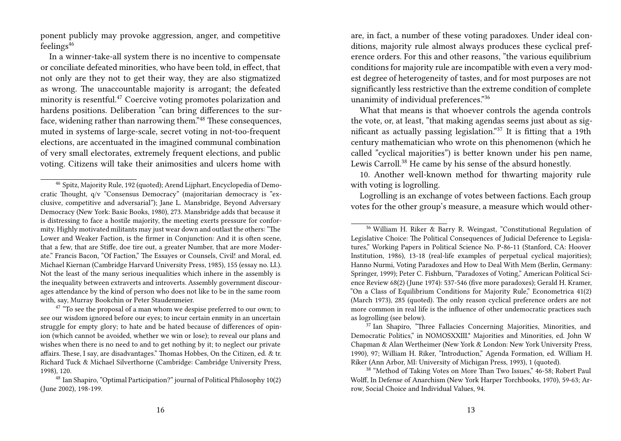ponent publicly may provoke aggression, anger, and competitive feelings<sup>46</sup>

In a winner-take-all system there is no incentive to compensate or conciliate defeated minorities, who have been told, in effect, that not only are they not to get their way, they are also stigmatized as wrong. The unaccountable majority is arrogant; the defeated minority is resentful.<sup>47</sup> Coercive voting promotes polarization and hardens positions. Deliberation "can bring differences to the surface, widening rather than narrowing them."<sup>48</sup> These consequences, muted in systems of large-scale, secret voting in not-too-frequent elections, are accentuated in the imagined communal combination of very small electorates, extremely frequent elections, and public voting. Citizens will take their animosities and ulcers home with

are, in fact, a number of these voting paradoxes. Under ideal conditions, majority rule almost always produces these cyclical preference orders. For this and other reasons, "the various equilibrium conditions for majority rule are incompatible with even a very modest degree of heterogeneity of tastes, and for most purposes are not significantly less restrictive than the extreme condition of complete unanimity of individual preferences."<sup>36</sup>

What that means is that whoever controls the agenda controls the vote, or, at least, "that making agendas seems just about as significant as actually passing legislation."<sup>37</sup> It is fitting that a 19th century mathematician who wrote on this phenomenon (which he called "cyclical majorities") is better known under his pen name, Lewis Carroll.<sup>38</sup> He came by his sense of the absurd honestly.

10. Another well-known method for thwarting majority rule with voting is logrolling.

Logrolling is an exchange of votes between factions. Each group votes for the other group's measure, a measure which would other-

<sup>46</sup> Spitz, Majority Rule, 192 (quoted); Arend Lijphart, Encyclopedia of Democratic Thought, q/v "Consensus Democracy" (majoritarian democracy is "exclusive, competitive and adversarial"); Jane L. Mansbridge, Beyond Adversary Democracy (New York: Basic Books, 1980), 273. Mansbridge adds that because it is distressing to face a hostile majority, the meeting exerts pressure for conformity. Highly motivated militants may just wear down and outlast the others: "The Lower and Weaker Faction, is the firmer in Conjunction: And it is often scene, that a few, that are Stiffe, doe tire out, a greater Number, that are more Moderate." Francis Bacon, "Of Faction," The Essayes or Counsels, Civil! and Moral, ed. Michael Kiernan (Cambridge Harvard University Press, 1985), 155 (essay no. LI.). Not the least of the many serious inequalities which inhere in the assembly is the inequality between extraverts and introverts. Assembly government discourages attendance by the kind of person who does not like to be in the same room with, say, Murray Bookchin or Peter Staudenmeier.

 $47$   $\degree$ To see the proposal of a man whom we despise preferred to our own; to see our wisdom ignored before our eyes; to incur certain enmity in an uncertain struggle for empty glory; to hate and be hated because of differences of opinion (which cannot be avoided, whether we win or lose); to reveal our plans and wishes when there is no need to and to get nothing by it; to neglect our private affairs. These, I say, are disadvantages." Thomas Hobbes, On the Citizen, ed. & tr. Richard Tuck & Michael Silverthorne (Cambridge: Cambridge University Press, 1998), 120.

<sup>48</sup> Ian Shapiro, "Optimal Participation?" journal of Political Philosophy 10(2) (June 2002), 198-199.

<sup>36</sup> William H. Riker & Barry R. Weingast, "Constitutional Regulation of Legislative Choice: The Political Consequences of Judicial Deference to Legislatures," Working Papers in Political Science No. P-86-11 (Stanford, CA: Hoover Institution, 1986), 13-18 (real-life examples of perpetual cyclical majorities); Hanno Nurmi, Voting Paradoxes and How to Deal With Mem (Berlin, Germany: Springer, 1999); Peter C. Fishburn, "Paradoxes of Voting," American Political Science Review 68(2) (June 1974): 537-546 (five more paradoxes); Gerald H. Kramer, "On a Class of Equilibrium Conditions for Majority Rule," Econometrica 41(2) (March 1973), 285 (quoted). The only reason cyclical preference orders are not more common in real life is the influence of other undemocratic practices such as logrolling (see below).

<sup>&</sup>lt;sup>37</sup> Ian Shapiro, "Three Fallacies Concerning Majorities, Minorities, and Democratic Politics," in NOMOSXXIII.\* Majorities and Minorities, ed. John W Chapman & Alan Wertheimer (New York & London: New York University Press, 1990), 97; William H. Riker, "Introduction," Agenda Formation, ed. William H. Riker (Ann Arbor, MI: University of Michigan Press, 1993), 1 (quoted).

<sup>&</sup>lt;sup>38</sup> "Method of Taking Votes on More Than Two Issues," 46-58; Robert Paul Wolff, In Defense of Anarchism (New York Harper Torchbooks, 1970), 59-63; Arrow, Social Choice and Individual Values, 94.